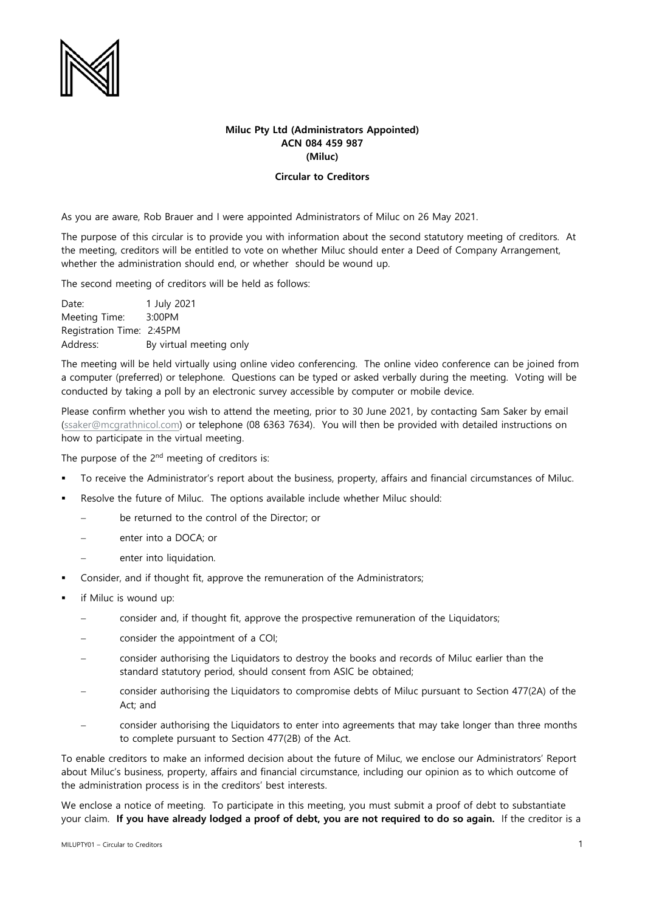

# **Miluc Pty Ltd (Administrators Appointed) ACN 084 459 987 (Miluc)**

## **Circular to Creditors**

As you are aware, Rob Brauer and I were appointed Administrators of Miluc on 26 May 2021.

The purpose of this circular is to provide you with information about the second statutory meeting of creditors. At the meeting, creditors will be entitled to vote on whether Miluc should enter a Deed of Company Arrangement, whether the administration should end, or whether should be wound up.

The second meeting of creditors will be held as follows:

Date: 1 July 2021 Meeting Time: 3:00PM Registration Time: 2:45PM Address: By virtual meeting only

The meeting will be held virtually using online video conferencing. The online video conference can be joined from a computer (preferred) or telephone. Questions can be typed or asked verbally during the meeting. Voting will be conducted by taking a poll by an electronic survey accessible by computer or mobile device.

Please confirm whether you wish to attend the meeting, prior to 30 June 2021, by contacting Sam Saker by email [\(ssaker@mcgrathnicol.com\)](mailto:ssaker@mcgrathnicol.com) or telephone (08 6363 7634). You will then be provided with detailed instructions on how to participate in the virtual meeting.

The purpose of the 2<sup>nd</sup> meeting of creditors is:

- To receive the Administrator's report about the business, property, affairs and financial circumstances of Miluc.
- Resolve the future of Miluc. The options available include whether Miluc should:
	- be returned to the control of the Director; or
	- enter into a DOCA; or
	- enter into liquidation.
- Consider, and if thought fit, approve the remuneration of the Administrators;
- if Miluc is wound up:
	- consider and, if thought fit, approve the prospective remuneration of the Liquidators;
	- consider the appointment of a COI;
	- − consider authorising the Liquidators to destroy the books and records of Miluc earlier than the standard statutory period, should consent from ASIC be obtained;
	- consider authorising the Liquidators to compromise debts of Miluc pursuant to Section 477(2A) of the Act; and
	- consider authorising the Liquidators to enter into agreements that may take longer than three months to complete pursuant to Section 477(2B) of the Act.

To enable creditors to make an informed decision about the future of Miluc, we enclose our Administrators' Report about Miluc's business, property, affairs and financial circumstance, including our opinion as to which outcome of the administration process is in the creditors' best interests.

We enclose a notice of meeting. To participate in this meeting, you must submit a proof of debt to substantiate your claim. **If you have already lodged a proof of debt, you are not required to do so again.** If the creditor is a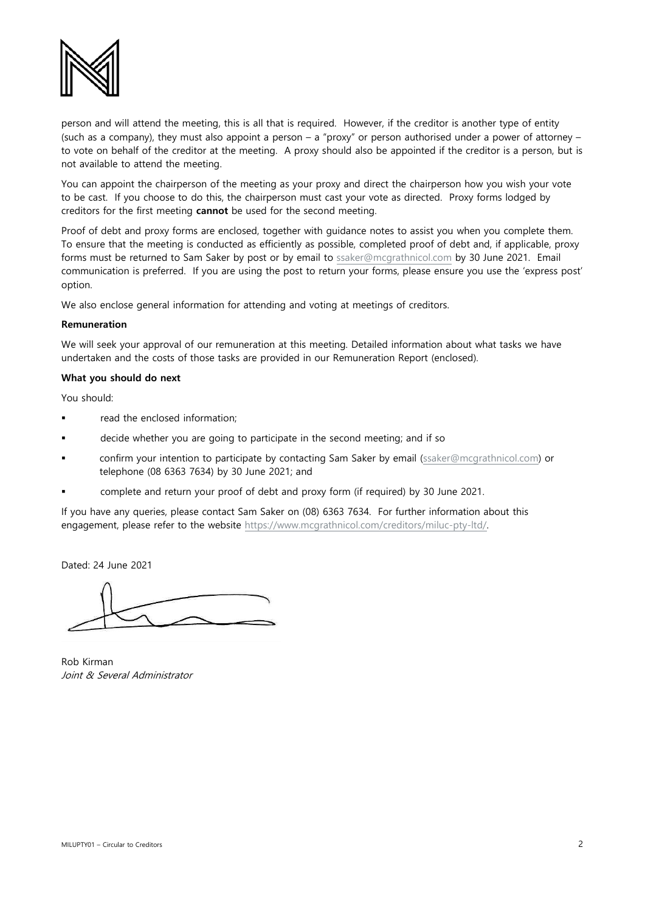

person and will attend the meeting, this is all that is required. However, if the creditor is another type of entity (such as a company), they must also appoint a person – a "proxy" or person authorised under a power of attorney – to vote on behalf of the creditor at the meeting. A proxy should also be appointed if the creditor is a person, but is not available to attend the meeting.

You can appoint the chairperson of the meeting as your proxy and direct the chairperson how you wish your vote to be cast. If you choose to do this, the chairperson must cast your vote as directed. Proxy forms lodged by creditors for the first meeting **cannot** be used for the second meeting.

Proof of debt and proxy forms are enclosed, together with guidance notes to assist you when you complete them. To ensure that the meeting is conducted as efficiently as possible, completed proof of debt and, if applicable, proxy forms must be returned to Sam Saker by post or by email to [ssaker@mcgrathnicol.com](mailto:ssaker@mcgrathnicol.com) by 30 June 2021. Email communication is preferred. If you are using the post to return your forms, please ensure you use the 'express post' option.

We also enclose general information for attending and voting at meetings of creditors.

#### **Remuneration**

We will seek your approval of our remuneration at this meeting. Detailed information about what tasks we have undertaken and the costs of those tasks are provided in our Remuneration Report (enclosed).

## **What you should do next**

You should:

- read the enclosed information;
- decide whether you are going to participate in the second meeting; and if so
- confirm your intention to participate by contacting Sam Saker by email [\(ssaker@mcgrathnicol.com\)](mailto:ssaker@mcgrathnicol.com) or telephone (08 6363 7634) by 30 June 2021; and
- complete and return your proof of debt and proxy form (if required) by 30 June 2021.

If you have any queries, please contact Sam Saker on (08) 6363 7634. For further information about this engagement, please refer to the website [https://www.mcgrathnicol.com/creditors/miluc-pty-ltd/.](https://www.mcgrathnicol.com/creditors/miluc-pty-ltd/) 

Dated: 24 June 2021

Rob Kirman Joint & Several Administrator